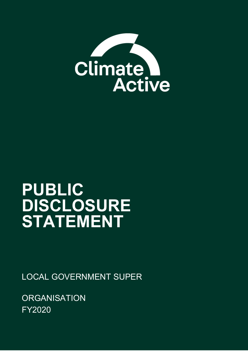

# **PUBLIC DISCLOSURE STATEMENT**

LOCAL GOVERNMENT SUPER

**ORGANISATION** FY2020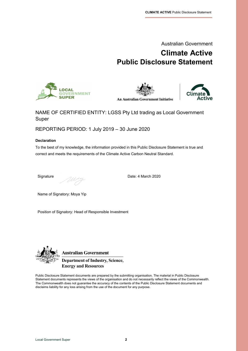

# **Climate Active Public Disclosure Statement**







#### NAME OF CERTIFIED ENTITY: LGSS Pty Ltd trading as Local Government Super

REPORTING PERIOD: 1 July 2019 – 30 June 2020

#### **Declaration**

To the best of my knowledge, the information provided in this Public Disclosure Statement is true and correct and meets the requirements of the Climate Active Carbon Neutral Standard.

Signature Date: 4 March 2020

Name of Signatory: Moya Yip

Position of Signatory: Head of Responsible Investment



**Australian Government** 

**Department of Industry, Science, Energy and Resources** 

Public Disclosure Statement documents are prepared by the submitting organisation. The material in Public Disclosure Statement documents represents the views of the organisation and do not necessarily reflect the views of the Commonwealth. The Commonwealth does not guarantee the accuracy of the contents of the Public Disclosure Statement documents and disclaims liability for any loss arising from the use of the document for any purpose.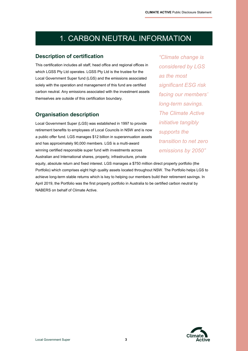# 1. CARBON NEUTRAL INFORMATION

#### **Description of certification**

This certification includes all staff, head office and regional offices in which LGSS Pty Ltd operates. LGSS Pty Ltd is the trustee for the Local Government Super fund (LGS) and the emissions associated solely with the operation and management of this fund are certified carbon neutral. Any emissions associated with the investment assets themselves are outside of this certification boundary.

#### **Organisation description**

Local Government Super (LGS) was established in 1997 to provide retirement benefits to employees of Local Councils in NSW and is now a public offer fund. LGS manages \$12 billion in superannuation assets and has approximately 90,000 members. LGS is a multi-award winning certified responsible super fund with investments across Australian and International shares, property, infrastructure, private

*"Climate change is considered by LGS as the most significant ESG risk facing our members' long-term savings. The Climate Active initiative tangibly supports the transition to net zero emissions by 2050"*

equity, absolute return and fixed interest. LGS manages a \$750 million direct property portfolio (the Portfolio) which comprises eight high quality assets located throughout NSW. The Portfolio helps LGS to achieve long-term stable returns which is key to helping our members build their retirement savings. In April 2019, the Portfolio was the first property portfolio in Australia to be certified carbon neutral by NABERS on behalf of Climate Active.

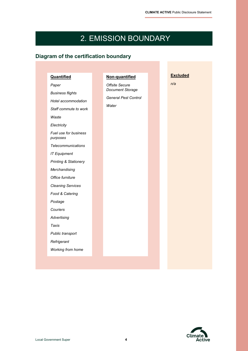# 2. EMISSION BOUNDARY

### **Diagram of the certification boundary**

| <b>Quantified</b>                 | Non-quantified              |  | <b>Excluded</b> |
|-----------------------------------|-----------------------------|--|-----------------|
| Paper                             | Offsite Secure              |  | n/a             |
| <b>Business flights</b>           | Document Storage            |  |                 |
| Hotel accommodation               | <b>General Pest Control</b> |  |                 |
| Staff commute to work             | Water                       |  |                 |
| Waste                             |                             |  |                 |
| Electricity                       |                             |  |                 |
| Fuel use for business<br>purposes |                             |  |                 |
| <b>Telecommunications</b>         |                             |  |                 |
| <b>IT Equipment</b>               |                             |  |                 |
| <b>Printing &amp; Stationery</b>  |                             |  |                 |
| Merchandising                     |                             |  |                 |
| Office furniture                  |                             |  |                 |
| <b>Cleaning Services</b>          |                             |  |                 |
| Food & Catering                   |                             |  |                 |
| Postage                           |                             |  |                 |
| Couriers                          |                             |  |                 |
| Advertising                       |                             |  |                 |
| Taxis                             |                             |  |                 |
| Public transport                  |                             |  |                 |
| Refrigerant                       |                             |  |                 |
| Working from home                 |                             |  |                 |

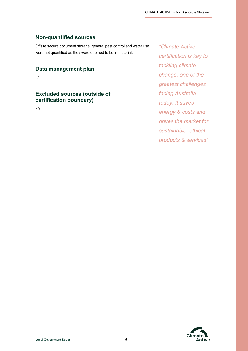### **Non-quantified sources**

Offsite secure document storage, general pest control and water use were not quantified as they were deemed to be immaterial.

### **Data management plan**

n/a

### **Excluded sources (outside of certification boundary)**

n/a

*"Climate Active certification is key to tackling climate change, one of the greatest challenges facing Australia today. It saves energy & costs and drives the market for sustainable, ethical products & services"*

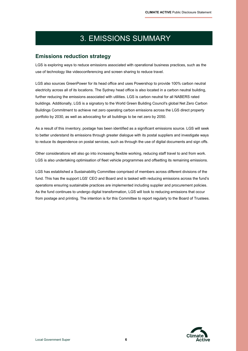# 3. EMISSIONS SUMMARY

#### **Emissions reduction strategy**

LGS is exploring ways to reduce emissions associated with operational business practices, such as the use of technology like videoconferencing and screen sharing to reduce travel.

LGS also sources GreenPower for its head office and uses Powershop to provide 100% carbon neutral electricity across all of its locations. The Sydney head office is also located in a carbon neutral building, further reducing the emissions associated with utilities. LGS is carbon neutral for all NABERS rated buildings. Additionally, LGS is a signatory to the World Green Building Council's global Net Zero Carbon Buildings Commitment to achieve net zero operating carbon emissions across the LGS direct property portfolio by 2030, as well as advocating for all buildings to be net zero by 2050.

As a result of this inventory, postage has been identified as a significant emissions source. LGS will seek to better understand its emissions through greater dialogue with its postal suppliers and investigate ways to reduce its dependence on postal services, such as through the use of digital documents and sign offs.

Other considerations will also go into increasing flexible working, reducing staff travel to and from work. LGS is also undertaking optimisation of fleet vehicle programmes and offsetting its remaining emissions.

LGS has established a Sustainability Committee comprised of members across different divisions of the fund. This has the support LGS' CEO and Board and is tasked with reducing emissions across the fund's operations ensuring sustainable practices are implemented including supplier and procurement policies. As the fund continues to undergo digital transformation, LGS will look to reducing emissions that occur from postage and printing. The intention is for this Committee to report regularly to the Board of Trustees.

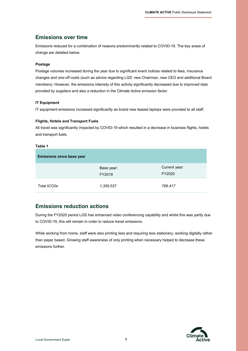#### **Emissions over time**

Emissions reduced for a combination of reasons predominantly related to COVID-19. The key areas of change are detailed below.

#### **Postage**

Postage volumes increased during the year due to significant event notices related to fees, insurance changes and one-off costs (such as advice regarding LGS' new Chairman, new CEO and additional Board members). However, the emissions intensity of this activity significantly decreased due to improved data provided by suppliers and also a reduction in the Climate Active emission factor.

#### **IT Equipment**

IT equipment emissions increased significantly as brand new leased laptops were provided to all staff.

#### **Flights, Hotels and Transport Fuels**

All travel was significantly impacted by COVID-19 which resulted in a decrease in business flights, hotels and transport fuels.

#### **Table 1**

| <b>Emissions since base year</b> |                      |                         |
|----------------------------------|----------------------|-------------------------|
|                                  | Base year:<br>FY2019 | Current year:<br>FY2020 |
| Total tCO2e                      | 1,359.537            | 768.417                 |

#### **Emissions reduction actions**

During the FY2020 period LGS has enhanced video conferencing capability and whilst this was partly due to COVID-19, this will remain in order to reduce travel emissions.

While working from home, staff were also printing less and requiring less stationery, working digitally rather than paper based. Growing staff awareness of only printing when necessary helped to decrease these emissions further.

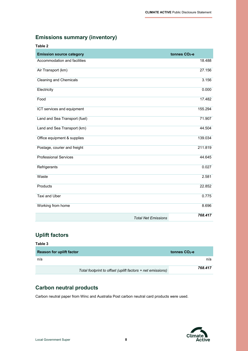### **Emissions summary (inventory)**

| Table 2                         |                            |                          |
|---------------------------------|----------------------------|--------------------------|
| <b>Emission source category</b> |                            | tonnes CO <sub>2-e</sub> |
| Accommodation and facilities    |                            | 18.488                   |
| Air Transport (km)              |                            | 27.156                   |
| <b>Cleaning and Chemicals</b>   |                            | 3.156                    |
| Electricity                     |                            | 0.000                    |
| Food                            |                            | 17.482                   |
| ICT services and equipment      |                            | 155.294                  |
| Land and Sea Transport (fuel)   |                            | 71.907                   |
| Land and Sea Transport (km)     |                            | 44.504                   |
| Office equipment & supplies     |                            | 139.034                  |
| Postage, courier and freight    |                            | 211.819                  |
| <b>Professional Services</b>    |                            | 44.645                   |
| Refrigerants                    |                            | 0.027                    |
| Waste                           |                            | 2.581                    |
| Products                        |                            | 22.852                   |
| <b>Taxi and Uber</b>            |                            | 0.775                    |
| Working from home               |                            | 8.696                    |
|                                 | <b>Total Net Emissions</b> | 768.417                  |

### **Uplift factors**

| Table 3                         |                                                            |                 |         |
|---------------------------------|------------------------------------------------------------|-----------------|---------|
| <b>Reason for uplift factor</b> |                                                            | tonnes $CO2$ -e |         |
| n/a                             |                                                            |                 | n/a     |
|                                 | Total footprint to offset (uplift factors + net emissions) |                 | 768.417 |

### **Carbon neutral products**

Carbon neutral paper from Winc and Australia Post carbon neutral card products were used.

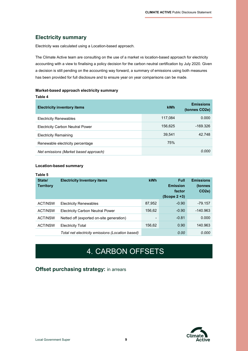### **Electricity summary**

Electricity was calculated using a Location-based approach.

The Climate Active team are consulting on the use of a market vs location-based approach for electricity accounting with a view to finalising a policy decision for the carbon neutral certification by July 2020. Given a decision is still pending on the accounting way forward, a summary of emissions using both measures has been provided for full disclosure and to ensure year on year comparisons can be made**.**

#### **Market-based approach electricity summary**

| Table 4                                 |         |                                   |
|-----------------------------------------|---------|-----------------------------------|
| <b>Electricity inventory items</b>      | kWh     | <b>Emissions</b><br>(tonnes CO2e) |
| <b>Electricity Renewables</b>           | 117,084 | 0.000                             |
| <b>Electricity Carbon Neutral Power</b> | 156,625 | -169.326                          |
| <b>Electricity Remaining</b>            | 39,541  | 42.748                            |
| Renewable electricity percentage        | 75%     |                                   |
| Net emissions (Market based approach)   |         | 0.000                             |

#### **Location-based summary**

| Table 5                    |                                                  |        |                                                             |                                                   |
|----------------------------|--------------------------------------------------|--------|-------------------------------------------------------------|---------------------------------------------------|
| State/<br><b>Territory</b> | <b>Electricity Inventory items</b>               | kWh    | <b>Full</b><br><b>Emission</b><br>factor<br>$(Scope 2 + 3)$ | <b>Emissions</b><br>(tonnes<br>CO <sub>2</sub> e) |
| <b>ACT/NSW</b>             | <b>Electricity Renewables</b>                    | 87,952 | $-0.90$                                                     | $-79.157$                                         |
| <b>ACT/NSW</b>             | <b>Electricity Carbon Neutral Power</b>          | 156,62 | $-0.90$                                                     | $-140.963$                                        |
| <b>ACT/NSW</b>             | Netted off (exported on-site generation)         |        | $-0.81$                                                     | 0.000                                             |
| <b>ACT/NSW</b>             | <b>Electricity Total</b>                         | 156.62 | 0.90                                                        | 140.963                                           |
|                            | Total net electricity emissions (Location based) |        | 0.00                                                        | 0.000                                             |

# 4. CARBON OFFSETS

### **Offset purchasing strategy:** in arrears

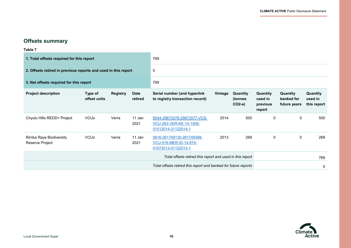÷

### **Offsets summary**

**Table 7**

| 1. Total offsets required for this report                      |                         |                 | 769                                                       |                                                                               |         |                                |                                           |                                        |                                    |
|----------------------------------------------------------------|-------------------------|-----------------|-----------------------------------------------------------|-------------------------------------------------------------------------------|---------|--------------------------------|-------------------------------------------|----------------------------------------|------------------------------------|
| 2. Offsets retired in previous reports and used in this report |                         |                 | 0                                                         |                                                                               |         |                                |                                           |                                        |                                    |
| 3. Net offsets required for this report                        |                         |                 | 769                                                       |                                                                               |         |                                |                                           |                                        |                                    |
| <b>Project description</b>                                     | Type of<br>offset units | <b>Registry</b> | <b>Date</b><br>retired                                    | Serial number (and hyperlink<br>to registry transaction record)               | Vintage | Quantity<br>(tonnes<br>$CO2-e$ | Quantity<br>used in<br>previous<br>report | Quantity<br>banked for<br>future years | Quantity<br>used in<br>this report |
| Chyulu Hills REDD+ Project                                     | <b>VCUs</b>             | Verra           | 11 Jan<br>2021                                            | 8544-29873078-29873577-VCS-<br>VCU-263-VER-KE-14-1408-<br>01012014-31122014-1 | 2014    | 500                            | 0                                         | 0                                      | 500                                |
| Rimba Raya Biodiversity<br>Reserve Project                     | <b>VCUs</b>             | Verra           | 11 Jan<br>2021                                            | 5816-261749130-261749398-<br>VCU-016-MER-ID-14-674-<br>01072013-31122013-1    | 2013    | 269                            | 0                                         | 0                                      | 269                                |
|                                                                |                         |                 | Total offsets retired this report and used in this report |                                                                               |         |                                | 769                                       |                                        |                                    |
|                                                                |                         |                 |                                                           | Total offsets retired this report and banked for future reports               |         |                                |                                           |                                        | 0                                  |

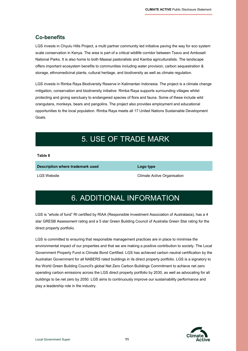### **Co-benefits**

LGS invests in Chyulu Hills Project, a multi partner community led initiative paving the way for eco system scale conservation in Kenya. The area is part of a critical wildlife corridor between Tsavo and Amboseli National Parks. It is also home to both Maasai pastoralists and Kamba agriculturalists. The landscape offers important ecosystem benefits to communities including water provision, carbon sequestration & storage, ethnomedicinal plants, cultural heritage, and biodiversity as well as climate regulation.

LGS invests in Rimba Raya Biodiversity Reserve in Kalimantan Indonesia. The project is a climate change mitigation, conservation and biodiversity initiative. Rimba Raya supports surrounding villages whilst protecting and giving sanctuary to endangered species of flora and fauna. Some of these include wild orangutans, monkeys, bears and pangolins. The project also provides employment and educational opportunities to the local population. Rimba Raya meets all 17 United Nations Sustainable Development Goals.

# 5. USE OF TRADE MARK

#### **Table 8**

**Description where trademark used Logo type**

LGS Website Climate Active Organisation

# 6. ADDITIONAL INFORMATION

LGS is "whole of fund" RI certified by RIAA (Responsible Investment Association of Australasia), has a 4 star GRESB Assessment rating and a 5 star Green Building Council of Australia Green Star rating for the direct property portfolio.

LGS is committed to ensuring that responsible management practices are in place to minimise the environmental impact of our properties and that we are making a positive contribution to society. The Local Government Property Fund is [Climate Bond Certified.](https://www.lgsuper.com.au/assets/property/LGF-Climate-Bonds-Certificate.pdf) LGS has achieved [carbon neutral certification by the](https://www.climateactive.org.au/buy-climate-active/certified-members/local-government-super-property-portfolio)  [Australian Government](https://www.climateactive.org.au/buy-climate-active/certified-members/local-government-super-property-portfolio) for all NABERS rated buildings in its direct property portfolio. LGS is a signatory to the World Green Building Council's global Net Zero Carbon Buildings Commitment to achieve net zero operating carbon emissions across the LGS direct property portfolio by 2030, as well as advocating for all buildings to be net zero by 2050. LGS aims to continuously improve our sustainability performance and play a leadership role in the industry.

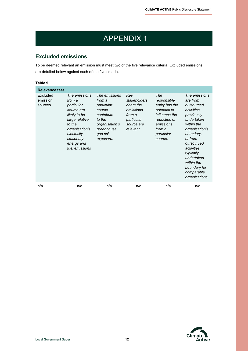# APPENDIX 1

### **Excluded emissions**

To be deemed relevant an emission must meet two of the five relevance criteria. Excluded emissions are detailed below against each of the five criteria.

| Table 9                         |                                                                                                                                                                                 |                                                                                                                                  |                                                                                                 |                                                                                                                                       |                                                                                                                                                                                                                                                                |
|---------------------------------|---------------------------------------------------------------------------------------------------------------------------------------------------------------------------------|----------------------------------------------------------------------------------------------------------------------------------|-------------------------------------------------------------------------------------------------|---------------------------------------------------------------------------------------------------------------------------------------|----------------------------------------------------------------------------------------------------------------------------------------------------------------------------------------------------------------------------------------------------------------|
| <b>Relevance test</b>           |                                                                                                                                                                                 |                                                                                                                                  |                                                                                                 |                                                                                                                                       |                                                                                                                                                                                                                                                                |
| Excluded<br>emission<br>sources | The emissions<br>from a<br>particular<br>source are<br>likely to be<br>large relative<br>to the<br>organisation's<br>electricity,<br>stationary<br>energy and<br>fuel emissions | The emissions<br>from a<br>particular<br>source<br>contribute<br>to the<br>organisation's<br>greenhouse<br>gas risk<br>exposure. | Key<br>stakeholders<br>deem the<br>emissions<br>from a<br>particular<br>source are<br>relevant. | The<br>responsible<br>entity has the<br>potential to<br>influence the<br>reduction of<br>emissions<br>from a<br>particular<br>source. | The emissions<br>are from<br>outsourced<br>activities<br>previously<br>undertaken<br>within the<br>organisation's<br>boundary,<br>or from<br>outsourced<br>activities<br>typically<br>undertaken<br>within the<br>boundary for<br>comparable<br>organisations. |
| n/a                             | n/a                                                                                                                                                                             | n/a                                                                                                                              | n/a                                                                                             | n/a                                                                                                                                   | n/a                                                                                                                                                                                                                                                            |